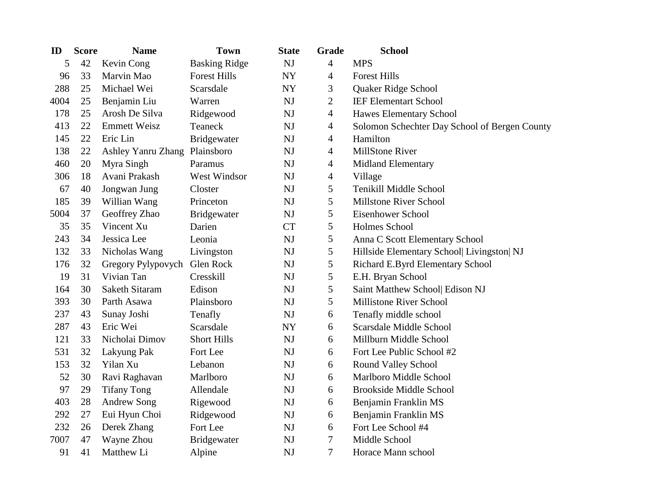| ID   | <b>Score</b> | <b>Name</b>                   | <b>Town</b>          | <b>State</b> | Grade          | <b>School</b>                                 |
|------|--------------|-------------------------------|----------------------|--------------|----------------|-----------------------------------------------|
| 5    | 42           | Kevin Cong                    | <b>Basking Ridge</b> | NJ           | $\overline{4}$ | <b>MPS</b>                                    |
| 96   | 33           | Marvin Mao                    | <b>Forest Hills</b>  | NY           | $\overline{4}$ | <b>Forest Hills</b>                           |
| 288  | 25           | Michael Wei                   | Scarsdale            | NY           | 3              | Quaker Ridge School                           |
| 4004 | 25           | Benjamin Liu                  | Warren               | <b>NJ</b>    | $\mathbf{2}$   | <b>IEF Elementart School</b>                  |
| 178  | 25           | Arosh De Silva                | Ridgewood            | NJ           | $\overline{4}$ | Hawes Elementary School                       |
| 413  | 22           | <b>Emmett Weisz</b>           | Teaneck              | NJ           | $\overline{4}$ | Solomon Schechter Day School of Bergen County |
| 145  | 22           | Eric Lin                      | Bridgewater          | <b>NJ</b>    | $\overline{4}$ | Hamilton                                      |
| 138  | 22           | Ashley Yanru Zhang Plainsboro |                      | <b>NJ</b>    | $\overline{4}$ | MillStone River                               |
| 460  | 20           | Myra Singh                    | Paramus              | NJ           | $\overline{4}$ | Midland Elementary                            |
| 306  | 18           | Avani Prakash                 | West Windsor         | NJ           | $\overline{4}$ | Village                                       |
| 67   | 40           | Jongwan Jung                  | Closter              | NJ           | 5              | Tenikill Middle School                        |
| 185  | 39           | Willian Wang                  | Princeton            | NJ           | 5              | Millstone River School                        |
| 5004 | 37           | Geoffrey Zhao                 | <b>Bridgewater</b>   | <b>NJ</b>    | 5              | Eisenhower School                             |
| 35   | 35           | Vincent Xu                    | Darien               | <b>CT</b>    | 5              | Holmes School                                 |
| 243  | 34           | Jessica Lee                   | Leonia               | NJ           | $\mathfrak{S}$ | Anna C Scott Elementary School                |
| 132  | 33           | Nicholas Wang                 | Livingston           | <b>NJ</b>    | 5              | Hillside Elementary School  Livingston  NJ    |
| 176  | 32           | Gregory Pylypovych            | Glen Rock            | NJ           | 5              | Richard E.Byrd Elementary School              |
| 19   | 31           | Vivian Tan                    | Cresskill            | NJ           | 5              | E.H. Bryan School                             |
| 164  | 30           | Saketh Sitaram                | Edison               | <b>NJ</b>    | $\mathfrak s$  | Saint Matthew School  Edison NJ               |
| 393  | 30           | Parth Asawa                   | Plainsboro           | NJ           | 5              | <b>Millistone River School</b>                |
| 237  | 43           | Sunay Joshi                   | Tenafly              | NJ           | 6              | Tenafly middle school                         |
| 287  | 43           | Eric Wei                      | Scarsdale            | <b>NY</b>    | 6              | Scarsdale Middle School                       |
| 121  | 33           | Nicholai Dimov                | <b>Short Hills</b>   | NJ           | 6              | Millburn Middle School                        |
| 531  | 32           | Lakyung Pak                   | Fort Lee             | <b>NJ</b>    | 6              | Fort Lee Public School #2                     |
| 153  | 32           | Yilan Xu                      | Lebanon              | NJ           | 6              | Round Valley School                           |
| 52   | 30           | Ravi Raghavan                 | Marlboro             | NJ           | 6              | Marlboro Middle School                        |
| 97   | 29           | <b>Tifany Tong</b>            | Allendale            | NJ           | 6              | <b>Brookside Middle School</b>                |
| 403  | 28           | <b>Andrew Song</b>            | Rigewood             | NJ           | 6              | Benjamin Franklin MS                          |
| 292  | 27           | Eui Hyun Choi                 | Ridgewood            | NJ           | 6              | Benjamin Franklin MS                          |
| 232  | 26           | Derek Zhang                   | Fort Lee             | NJ           | 6              | Fort Lee School #4                            |
| 7007 | 47           | Wayne Zhou                    | <b>Bridgewater</b>   | NJ           | 7              | Middle School                                 |
| 91   | 41           | Matthew Li                    | Alpine               | NJ           | $\tau$         | Horace Mann school                            |